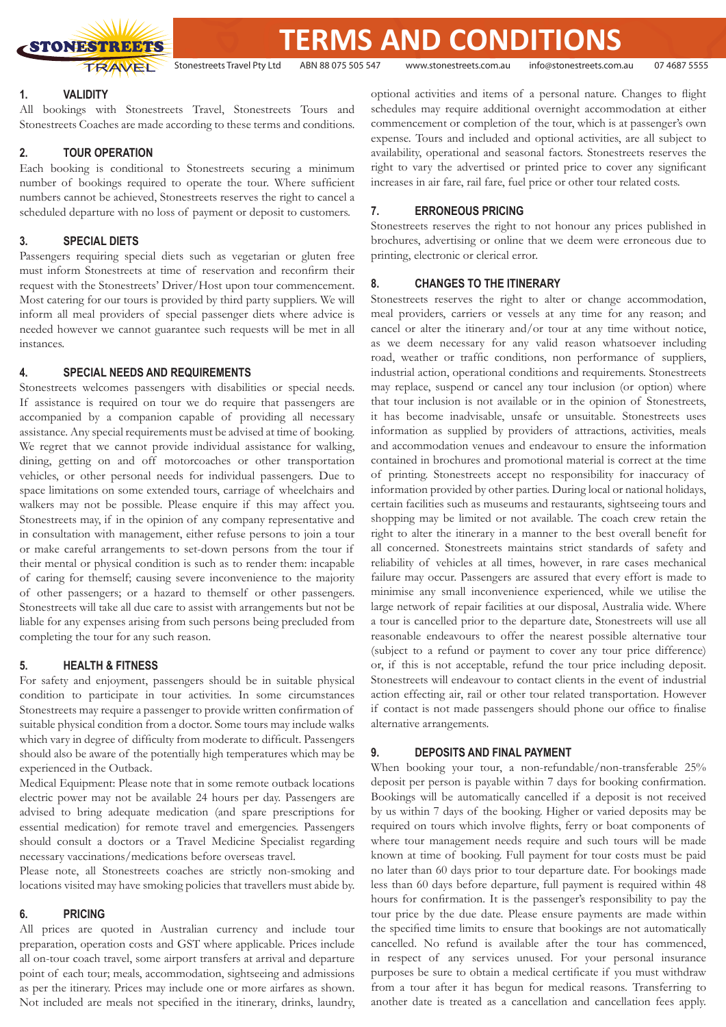

**TERMS AND CONDITIONS**

Stonestreets Travel Pty Ltd ABN 88 075 505 547 www.stonestreets.com.au info@stonestreets.com.au 07 4687 5555

## **1. VALIDITY**

All bookings with Stonestreets Travel, Stonestreets Tours and Stonestreets Coaches are made according to these terms and conditions.

# **2. TOUR OPERATION**

Each booking is conditional to Stonestreets securing a minimum number of bookings required to operate the tour. Where sufficient numbers cannot be achieved, Stonestreets reserves the right to cancel a scheduled departure with no loss of payment or deposit to customers.

# **3. SPECIAL DIETS**

Passengers requiring special diets such as vegetarian or gluten free must inform Stonestreets at time of reservation and reconfirm their request with the Stonestreets' Driver/Host upon tour commencement. Most catering for our tours is provided by third party suppliers. We will inform all meal providers of special passenger diets where advice is needed however we cannot guarantee such requests will be met in all instances.

# **4. SPECIAL NEEDS AND REQUIREMENTS**

Stonestreets welcomes passengers with disabilities or special needs. If assistance is required on tour we do require that passengers are accompanied by a companion capable of providing all necessary assistance. Any special requirements must be advised at time of booking. We regret that we cannot provide individual assistance for walking, dining, getting on and off motorcoaches or other transportation vehicles, or other personal needs for individual passengers. Due to space limitations on some extended tours, carriage of wheelchairs and walkers may not be possible. Please enquire if this may affect you. Stonestreets may, if in the opinion of any company representative and in consultation with management, either refuse persons to join a tour or make careful arrangements to set-down persons from the tour if their mental or physical condition is such as to render them: incapable of caring for themself; causing severe inconvenience to the majority of other passengers; or a hazard to themself or other passengers. Stonestreets will take all due care to assist with arrangements but not be liable for any expenses arising from such persons being precluded from completing the tour for any such reason.

# **5. HEALTH & FITNESS**

For safety and enjoyment, passengers should be in suitable physical condition to participate in tour activities. In some circumstances Stonestreets may require a passenger to provide written confirmation of suitable physical condition from a doctor. Some tours may include walks which vary in degree of difficulty from moderate to difficult. Passengers should also be aware of the potentially high temperatures which may be experienced in the Outback.

Medical Equipment: Please note that in some remote outback locations electric power may not be available 24 hours per day. Passengers are advised to bring adequate medication (and spare prescriptions for essential medication) for remote travel and emergencies. Passengers should consult a doctors or a Travel Medicine Specialist regarding necessary vaccinations/medications before overseas travel.

Please note, all Stonestreets coaches are strictly non-smoking and locations visited may have smoking policies that travellers must abide by.

# **6. PRICING**

All prices are quoted in Australian currency and include tour preparation, operation costs and GST where applicable. Prices include all on-tour coach travel, some airport transfers at arrival and departure point of each tour; meals, accommodation, sightseeing and admissions as per the itinerary. Prices may include one or more airfares as shown. Not included are meals not specified in the itinerary, drinks, laundry,

optional activities and items of a personal nature. Changes to flight schedules may require additional overnight accommodation at either commencement or completion of the tour, which is at passenger's own expense. Tours and included and optional activities, are all subject to availability, operational and seasonal factors. Stonestreets reserves the right to vary the advertised or printed price to cover any significant increases in air fare, rail fare, fuel price or other tour related costs.

# **7. ERRONEOUS PRICING**

Stonestreets reserves the right to not honour any prices published in brochures, advertising or online that we deem were erroneous due to printing, electronic or clerical error.

#### **8. CHANGES TO THE ITINERARY**

Stonestreets reserves the right to alter or change accommodation, meal providers, carriers or vessels at any time for any reason; and cancel or alter the itinerary and/or tour at any time without notice, as we deem necessary for any valid reason whatsoever including road, weather or traffic conditions, non performance of suppliers, industrial action, operational conditions and requirements. Stonestreets may replace, suspend or cancel any tour inclusion (or option) where that tour inclusion is not available or in the opinion of Stonestreets, it has become inadvisable, unsafe or unsuitable. Stonestreets uses information as supplied by providers of attractions, activities, meals and accommodation venues and endeavour to ensure the information contained in brochures and promotional material is correct at the time of printing. Stonestreets accept no responsibility for inaccuracy of information provided by other parties. During local or national holidays, certain facilities such as museums and restaurants, sightseeing tours and shopping may be limited or not available. The coach crew retain the right to alter the itinerary in a manner to the best overall benefit for all concerned. Stonestreets maintains strict standards of safety and reliability of vehicles at all times, however, in rare cases mechanical failure may occur. Passengers are assured that every effort is made to minimise any small inconvenience experienced, while we utilise the large network of repair facilities at our disposal, Australia wide. Where a tour is cancelled prior to the departure date, Stonestreets will use all reasonable endeavours to offer the nearest possible alternative tour (subject to a refund or payment to cover any tour price difference) or, if this is not acceptable, refund the tour price including deposit. Stonestreets will endeavour to contact clients in the event of industrial action effecting air, rail or other tour related transportation. However if contact is not made passengers should phone our office to finalise alternative arrangements.

# **9. DEPOSITS AND FINAL PAYMENT**

When booking your tour, a non-refundable/non-transferable 25% deposit per person is payable within 7 days for booking confirmation. Bookings will be automatically cancelled if a deposit is not received by us within 7 days of the booking. Higher or varied deposits may be required on tours which involve flights, ferry or boat components of where tour management needs require and such tours will be made known at time of booking. Full payment for tour costs must be paid no later than 60 days prior to tour departure date. For bookings made less than 60 days before departure, full payment is required within 48 hours for confirmation. It is the passenger's responsibility to pay the tour price by the due date. Please ensure payments are made within the specified time limits to ensure that bookings are not automatically cancelled. No refund is available after the tour has commenced, in respect of any services unused. For your personal insurance purposes be sure to obtain a medical certificate if you must withdraw from a tour after it has begun for medical reasons. Transferring to another date is treated as a cancellation and cancellation fees apply.